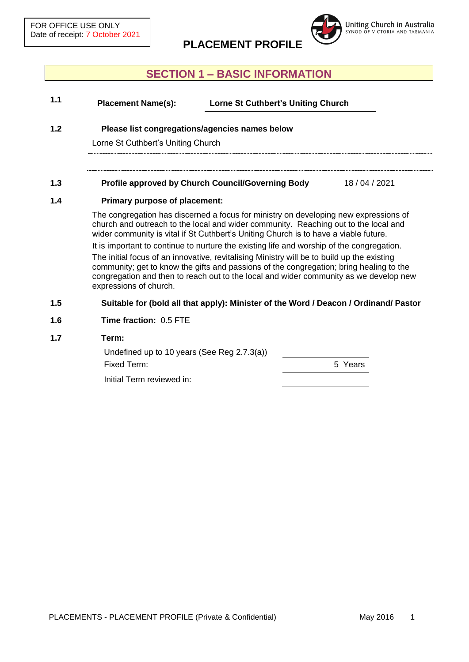

# **SECTION 1 – BASIC INFORMATION**

| 1.1 | <b>Placement Name(s):</b>                                                                                                                                                                                                                                                                                | <b>Lorne St Cuthbert's Uniting Church</b>                                            |            |  |
|-----|----------------------------------------------------------------------------------------------------------------------------------------------------------------------------------------------------------------------------------------------------------------------------------------------------------|--------------------------------------------------------------------------------------|------------|--|
| 1.2 | Please list congregations/agencies names below<br>Lorne St Cuthbert's Uniting Church                                                                                                                                                                                                                     |                                                                                      |            |  |
|     |                                                                                                                                                                                                                                                                                                          |                                                                                      |            |  |
| 1.3 |                                                                                                                                                                                                                                                                                                          | Profile approved by Church Council/Governing Body                                    | 18/04/2021 |  |
| 1.4 | <b>Primary purpose of placement:</b>                                                                                                                                                                                                                                                                     |                                                                                      |            |  |
|     | The congregation has discerned a focus for ministry on developing new expressions of<br>church and outreach to the local and wider community. Reaching out to the local and<br>wider community is vital if St Cuthbert's Uniting Church is to have a viable future.                                      |                                                                                      |            |  |
|     | It is important to continue to nurture the existing life and worship of the congregation.                                                                                                                                                                                                                |                                                                                      |            |  |
|     | The initial focus of an innovative, revitalising Ministry will be to build up the existing<br>community; get to know the gifts and passions of the congregation; bring healing to the<br>congregation and then to reach out to the local and wider community as we develop new<br>expressions of church. |                                                                                      |            |  |
| 1.5 |                                                                                                                                                                                                                                                                                                          | Suitable for (bold all that apply): Minister of the Word / Deacon / Ordinand/ Pastor |            |  |
| 1.6 | <b>Time fraction: 0.5 FTE</b>                                                                                                                                                                                                                                                                            |                                                                                      |            |  |

#### **1.7 Term:**

| Undefined up to 10 years (See Reg 2.7.3(a)) |         |
|---------------------------------------------|---------|
| Fixed Term:                                 | 5 Years |

Initial Term reviewed in: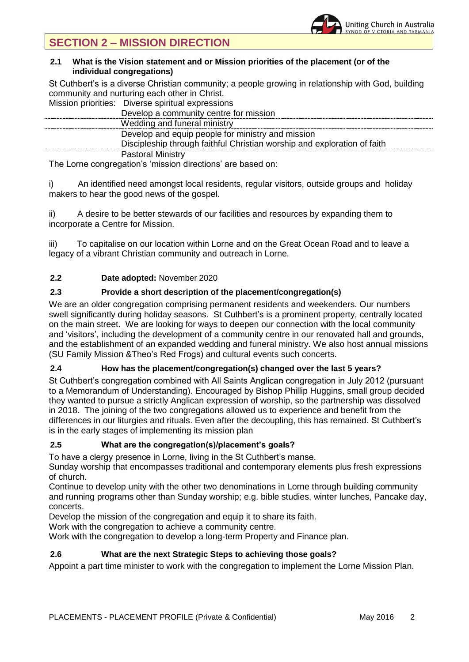## **2.1 What is the Vision statement and or Mission priorities of the placement (or of the individual congregations)**

St Cuthbert's is a diverse Christian community; a people growing in relationship with God, building community and nurturing each other in Christ.

Mission priorities: Diverse spiritual expressions

| Develop a community centre for mission                                   |
|--------------------------------------------------------------------------|
| Wedding and funeral ministry                                             |
| Develop and equip people for ministry and mission                        |
| Discipleship through faithful Christian worship and exploration of faith |
| <b>Pastoral Ministry</b>                                                 |
|                                                                          |

The Lorne congregation's 'mission directions' are based on:

i) An identified need amongst local residents, regular visitors, outside groups and holiday makers to hear the good news of the gospel.

ii) A desire to be better stewards of our facilities and resources by expanding them to incorporate a Centre for Mission.

iii) To capitalise on our location within Lorne and on the Great Ocean Road and to leave a legacy of a vibrant Christian community and outreach in Lorne.

# **2.2 Date adopted:** November 2020

# **2.3 Provide a short description of the placement/congregation(s)**

We are an older congregation comprising permanent residents and weekenders. Our numbers swell significantly during holiday seasons. St Cuthbert's is a prominent property, centrally located on the main street. We are looking for ways to deepen our connection with the local community and 'visitors', including the development of a community centre in our renovated hall and grounds, and the establishment of an expanded wedding and funeral ministry. We also host annual missions (SU Family Mission &Theo's Red Frogs) and cultural events such concerts.

# **2.4 How has the placement/congregation(s) changed over the last 5 years?**

St Cuthbert's congregation combined with All Saints Anglican congregation in July 2012 (pursuant to a Memorandum of Understanding). Encouraged by Bishop Phillip Huggins, small group decided they wanted to pursue a strictly Anglican expression of worship, so the partnership was dissolved in 2018. The joining of the two congregations allowed us to experience and benefit from the differences in our liturgies and rituals. Even after the decoupling, this has remained. St Cuthbert's is in the early stages of implementing its mission plan

## **2.5 What are the congregation(s)/placement's goals?**

To have a clergy presence in Lorne, living in the St Cuthbert's manse.

Sunday worship that encompasses traditional and contemporary elements plus fresh expressions of church.

Continue to develop unity with the other two denominations in Lorne through building community and running programs other than Sunday worship; e.g. bible studies, winter lunches, Pancake day, concerts.

Develop the mission of the congregation and equip it to share its faith.

Work with the congregation to achieve a community centre.

Work with the congregation to develop a long-term Property and Finance plan.

## **2.6 What are the next Strategic Steps to achieving those goals?**

Appoint a part time minister to work with the congregation to implement the Lorne Mission Plan.